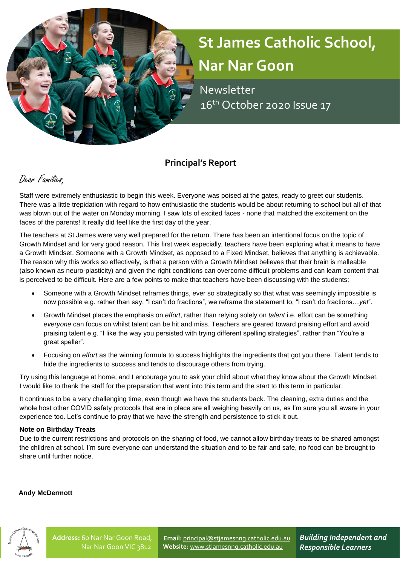# **St James Catholic School, Nar Nar Goon**

 Newsletter 16<sup>th</sup> October 2020 Issue 17

# **Principal's Report**

# Dear Families,

Staff were extremely enthusiastic to begin this week. Everyone was poised at the gates, ready to greet our students. There was a little trepidation with regard to how enthusiastic the students would be about returning to school but all of that was blown out of the water on Monday morning. I saw lots of excited faces - none that matched the excitement on the faces of the parents! It really did feel like the first day of the year.

The teachers at St James were very well prepared for the return. There has been an intentional focus on the topic of Growth Mindset and for very good reason. This first week especially, teachers have been exploring what it means to have a Growth Mindset. Someone with a Growth Mindset, as opposed to a Fixed Mindset, believes that anything is achievable. The reason why this works so effectively, is that a person with a Growth Mindset believes that their brain is malleable (also known as neuro-plasticity) and given the right conditions can overcome difficult problems and can learn content that is perceived to be difficult. Here are a few points to make that teachers have been discussing with the students:

- Someone with a Growth Mindset reframes things, ever so strategically so that what was seemingly impossible is now possible e.g. rather than say, "I can't do fractions", we reframe the statement to, "I can't do fractions…*yet*".
- Growth Mindset places the emphasis on *effort*, rather than relying solely on *talent* i.e. effort can be something *everyone* can focus on whilst talent can be hit and miss. Teachers are geared toward praising effort and avoid praising talent e.g. "I like the way you persisted with trying different spelling strategies", rather than "You're a great speller".
- Focusing on *effort* as the winning formula to success highlights the ingredients that got you there. Talent tends to hide the ingredients to success and tends to discourage others from trying.

Try using this language at home, and I encourage you to ask your child about what they know about the Growth Mindset. I would like to thank the staff for the preparation that went into this term and the start to this term in particular.

It continues to be a very challenging time, even though we have the students back. The cleaning, extra duties and the whole host other COVID safety protocols that are in place are all weighing heavily on us, as I'm sure you all aware in your experience too. Let's continue to pray that we have the strength and persistence to stick it out.

#### **Note on Birthday Treats**

Due to the current restrictions and protocols on the sharing of food, we cannot allow birthday treats to be shared amongst the children at school. I'm sure everyone can understand the situation and to be fair and safe, no food can be brought to share until further notice.

#### **Andy McDermott**



**Email:** [principal@stjamesnng.catholic.edu.au](mailto:principal@stjamesnng.catholic.edu.au) **Website:** [www.stjamesnng.catholic.edu.au](http://www.stjamesnng.catholic.edu.au/)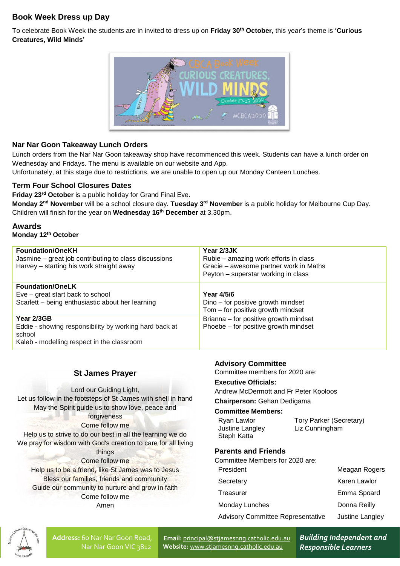# **Book Week Dress up Day**

To celebrate Book Week the students are in invited to dress up on **Friday 30th October,** this year's theme is **'Curious Creatures, Wild Minds'**



#### **Nar Nar Goon Takeaway Lunch Orders**

Lunch orders from the Nar Nar Goon takeaway shop have recommenced this week. Students can have a lunch order on Wednesday and Fridays. The menu is available on our website and App.

Unfortunately, at this stage due to restrictions, we are unable to open up our Monday Canteen Lunches.

#### **Term Four School Closures Dates**

**Friday 23rd October** is a public holiday for Grand Final Eve.

**Monday 2nd November** will be a school closure day. **Tuesday 3rd November** is a public holiday for Melbourne Cup Day. Children will finish for the year on **Wednesday 16th December** at 3.30pm.

**Awards Monday 12th October**

| <b>Foundation/OneKH</b><br>Jasmine – great job contributing to class discussions<br>Harvey - starting his work straight away | Year 2/3JK<br>Rubie – amazing work efforts in class<br>Gracie – awesome partner work in Maths<br>Peyton - superstar working in class |
|------------------------------------------------------------------------------------------------------------------------------|--------------------------------------------------------------------------------------------------------------------------------------|
| <b>Foundation/OneLK</b><br>Eve – great start back to school<br>Scarlett - being enthusiastic about her learning              | Year 4/5/6<br>Dino – for positive growth mindset<br>Tom - for positive growth mindset                                                |
| Year 2/3GB<br>Eddie - showing responsibility by working hard back at<br>school<br>Kaleb - modelling respect in the classroom | Brianna - for positive growth mindset<br>Phoebe – for positive growth mindset                                                        |

#### **St James Prayer**

Lord our Guiding Light, Let us follow in the footsteps of St James with shell in hand May the Spirit guide us to show love, peace and forgiveness Come follow me Help us to strive to do our best in all the learning we do We pray for wisdom with God's creation to care for all living things Come follow me Help us to be a friend, like St James was to Jesus Bless our families, friends and community Guide our community to nurture and grow in faith Come follow me Amen

#### **Advisory Committee**

Committee members for 2020 are:

#### **Executive Officials:**

Andrew McDermott and Fr Peter Kooloos

#### **Chairperson:** Gehan Dedigama

#### **Committee Members:**

| Ryan Lawlor     | Tory Parker (Secretary) |
|-----------------|-------------------------|
| Justine Langley | Liz Cunningham          |
| Steph Katta     |                         |

#### **Parents and Friends**

Committee Members for 2020 are:

| President                                | Meagan Rogers   |
|------------------------------------------|-----------------|
| Secretary                                | Karen Lawlor    |
| Treasurer                                | Emma Spoard     |
| Monday Lunches                           | Donna Reilly    |
| <b>Advisory Committee Representative</b> | Justine Langley |
|                                          |                 |



**Address:** 60 Nar Nar Goon Road, Nar Nar Goon VIC 3812

**Email:** [principal@stjamesnng.catholic.edu.au](mailto:principal@stjamesnng.catholic.edu.au) **Website:** [www.stjamesnng.catholic.edu.au](http://www.stjamesnng.catholic.edu.au/)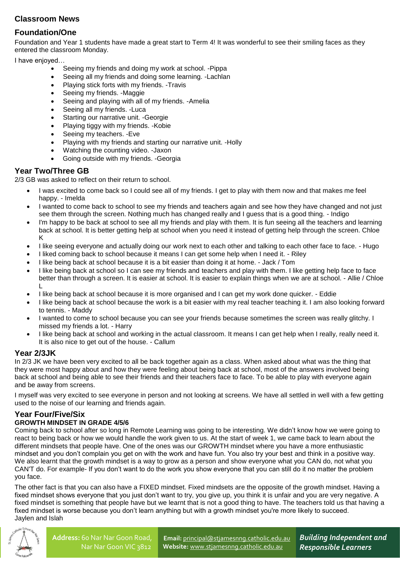# **Classroom News**

# **Foundation/One**

Foundation and Year 1 students have made a great start to Term 4! It was wonderful to see their smiling faces as they entered the classroom Monday.

I have enjoyed…

- Seeing my friends and doing my work at school. -Pippa
- Seeing all my friends and doing some learning. -Lachlan
- Playing stick forts with my friends. -Travis
- Seeing my friends. -Maggie
- Seeing and playing with all of my friends. -Amelia
- Seeing all my friends. -Luca
- Starting our narrative unit. -Georgie
- Playing tiggy with my friends. -Kobie
- Seeing my teachers. -Eve
- Playing with my friends and starting our narrative unit. -Holly
- Watching the counting video. -Jaxon
- Going outside with my friends. -Georgia

## **Year Two/Three GB**

2/3 GB was asked to reflect on their return to school.

- I was excited to come back so I could see all of my friends. I get to play with them now and that makes me feel happy. - Imelda
- I wanted to come back to school to see my friends and teachers again and see how they have changed and not just see them through the screen. Nothing much has changed really and I guess that is a good thing. - Indigo
- I'm happy to be back at school to see all my friends and play with them. It is fun seeing all the teachers and learning back at school. It is better getting help at school when you need it instead of getting help through the screen. Chloe K
- I like seeing everyone and actually doing our work next to each other and talking to each other face to face. Hugo
- I liked coming back to school because it means I can get some help when I need it. Riley
- I like being back at school because it is a bit easier than doing it at home. Jack / Tom
- I like being back at school so I can see my friends and teachers and play with them. I like getting help face to face better than through a screen. It is easier at school. It is easier to explain things when we are at school. - Allie / Chloe L
- I like being back at school because it is more organised and I can get my work done quicker. Eddie
- I like being back at school because the work is a bit easier with my real teacher teaching it. I am also looking forward to tennis. - Maddy
- I wanted to come to school because you can see your friends because sometimes the screen was really glitchy. I missed my friends a lot. - Harry
- I like being back at school and working in the actual classroom. It means I can get help when I really, really need it. It is also nice to get out of the house. - Callum

#### **Year 2/3JK**

In 2/3 JK we have been very excited to all be back together again as a class. When asked about what was the thing that they were most happy about and how they were feeling about being back at school, most of the answers involved being back at school and being able to see their friends and their teachers face to face. To be able to play with everyone again and be away from screens.

I myself was very excited to see everyone in person and not looking at screens. We have all settled in well with a few getting used to the noise of our learning and friends again.

## **Year Four/Five/Six**

#### **GROWTH MINDSET IN GRADE 4/5/6**

Coming back to school after so long in Remote Learning was going to be interesting. We didn't know how we were going to react to being back or how we would handle the work given to us. At the start of week 1, we came back to learn about the different mindsets that people have. One of the ones was our GROWTH mindset where you have a more enthusiastic mindset and you don't complain you get on with the work and have fun. You also try your best and think in a positive way. We also learnt that the growth mindset is a way to grow as a person and show everyone what you CAN do, not what you CAN'T do. For example- If you don't want to do the work you show everyone that you can still do it no matter the problem you face.

The other fact is that you can also have a FIXED mindset. Fixed mindsets are the opposite of the growth mindset. Having a fixed mindset shows everyone that you just don't want to try, you give up, you think it is unfair and you are very negative. A fixed mindset is something that people have but we learnt that is not a good thing to have. The teachers told us that having a fixed mindset is worse because you don't learn anything but with a growth mindset you're more likely to succeed. Jaylen and Islah



**Email:** [principal@stjamesnng.catholic.edu.au](mailto:principal@stjamesnng.catholic.edu.au) **Website:** [www.stjamesnng.catholic.edu.au](http://www.stjamesnng.catholic.edu.au/)